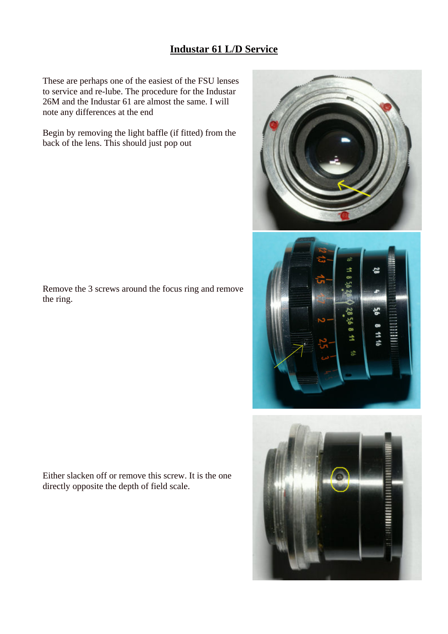## **Industar 61 L/D Service**

These are perhaps one of the easiest of the FSU lenses to service and re-lube. The procedure for the Industar 26M and the Industar 61 are almost the same. I will note any differences at the end

Begin by removing the light baffle (if fitted) from the back of the lens. This should just pop out

Remove the 3 screws around the focus ring and remove the ring.

Either slacken off or remove this screw. It is the one directly opposite the depth of field scale.





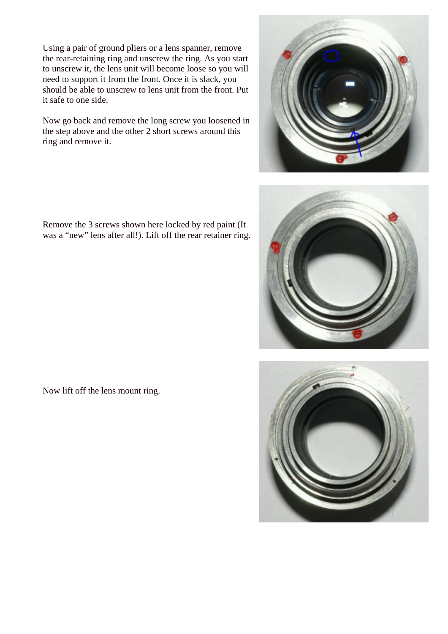Using a pair of ground pliers or a lens spanner, remove the rear-retaining ring and unscrew the ring. As you start to unscrew it, the lens unit will become loose so you will need to support it from the front. Once it is slack, you should be able to unscrew to lens unit from the front. Put it safe to one side.

Now go back and remove the long screw you loosened in the step above and the other 2 short screws around this ring and remove it.

Remove the 3 screws shown here locked by red paint (It was a "new" lens after all!). Lift off the rear retainer ring.

Now lift off the lens mount ring.





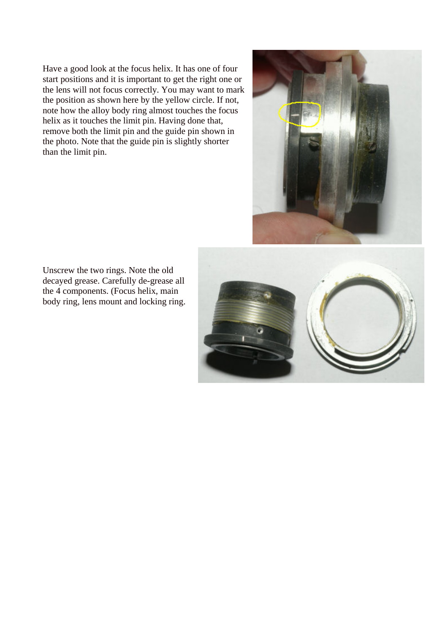Have a good look at the focus helix. It has one of four start positions and it is important to get the right one or the lens will not focus correctly. You may want to mark the position as shown here by the yellow circle. If not, note how the alloy body ring almost touches the focus helix as it touches the limit pin. Having done that, remove both the limit pin and the guide pin shown in the photo. Note that the guide pin is slightly shorter than the limit pin.



Unscrew the two rings. Note the old decayed grease. Carefully de-grease all the 4 components. (Focus helix, main body ring, lens mount and locking ring.